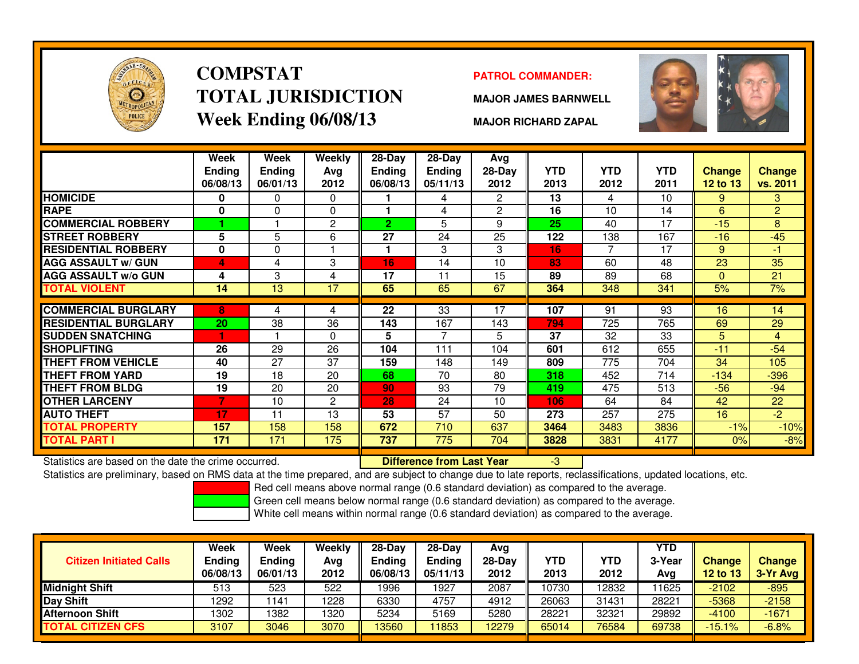

# **COMPSTATTOTAL JURISDICTIONWeek Ending 06/08/13**

### **PATROL COMMANDER:**

**MAJOR JAMES BARNWELL**



**MAJOR RICHARD ZAPAL**

|                             | <b>Week</b><br><b>Ending</b><br>06/08/13 | Week<br><b>Ending</b><br>06/01/13 | <b>Weekly</b><br>Avg<br>2012 | $28-Day$<br>Ending<br>06/08/13 | $28$ -Day<br><b>Ending</b><br>05/11/13 | Ava<br>28-Day<br>2012 | YTD.<br>2013 | <b>YTD</b><br>2012 | <b>YTD</b><br>2011 | <b>Change</b><br>12 to 13 | <b>Change</b><br>vs. 2011 |
|-----------------------------|------------------------------------------|-----------------------------------|------------------------------|--------------------------------|----------------------------------------|-----------------------|--------------|--------------------|--------------------|---------------------------|---------------------------|
| <b>HOMICIDE</b>             | 0                                        | 0                                 | $\mathbf 0$                  |                                | 4                                      | $\overline{2}$        | 13           | 4                  | 10                 | 9                         | 3                         |
| <b>RAPE</b>                 | $\bf{0}$                                 | 0                                 | $\mathbf 0$                  |                                | 4                                      | $\overline{2}$        | 16           | 10                 | 14                 | 6                         | $\overline{2}$            |
| <b>COMMERCIAL ROBBERY</b>   |                                          |                                   | $\overline{2}$               | $\overline{2}$                 | 5                                      | 9                     | 25           | 40                 | 17                 | $-15$                     | 8                         |
| <b>STREET ROBBERY</b>       | 5                                        | 5                                 | 6                            | 27                             | 24                                     | 25                    | 122          | 138                | 167                | $-16$                     | $-45$                     |
| <b>RESIDENTIAL ROBBERY</b>  | 0                                        | 0                                 |                              |                                | 3                                      | 3                     | 16           | 7                  | 17                 | 9                         | -1                        |
| <b>AGG ASSAULT w/ GUN</b>   | 4                                        | 4                                 | 3                            | 16                             | 14                                     | 10                    | 83           | 60                 | 48                 | 23                        | 35                        |
| <b>AGG ASSAULT w/o GUN</b>  | 4                                        | 3                                 | 4                            | 17                             | 11                                     | 15                    | 89           | 89                 | 68                 | $\mathbf{0}$              | 21                        |
| TOTAL VIOLENT               | 14                                       | 13                                | 17                           | 65                             | 65                                     | 67                    | 364          | 348                | 341                | 5%                        | 7%                        |
|                             |                                          |                                   |                              |                                |                                        |                       |              |                    |                    |                           |                           |
| <b>COMMERCIAL BURGLARY</b>  | 8                                        | 4                                 | 4                            | $\overline{22}$                | 33                                     | 17                    | 107          | 91                 | 93                 | 16                        | 14                        |
| <b>RESIDENTIAL BURGLARY</b> | 20                                       | 38                                | 36                           | 143                            | 167                                    | 143                   | 794          | 725                | 765                | 69                        | 29                        |
| <b>SUDDEN SNATCHING</b>     |                                          |                                   | $\Omega$                     | 5                              | 7                                      | 5                     | 37           | 32                 | 33                 | 5                         | $\overline{4}$            |
| <b>SHOPLIFTING</b>          | 26                                       | 29                                | 26                           | 104                            | 111                                    | 104                   | 601          | 612                | 655                | $-11$                     | $-54$                     |
| <b>THEFT FROM VEHICLE</b>   | 40                                       | 27                                | 37                           | 159                            | 148                                    | 149                   | 809          | 775                | 704                | 34                        | 105                       |
| THEFT FROM YARD             | 19                                       | 18                                | 20                           | 68                             | 70                                     | 80                    | 318          | 452                | 714                | $-134$                    | $-396$                    |
| <b>THEFT FROM BLDG</b>      | 19                                       | 20                                | 20                           | 90                             | 93                                     | 79                    | 419          | 475                | 513                | $-56$                     | $-94$                     |
| <b>OTHER LARCENY</b>        |                                          | 10                                | $\overline{2}$               | 28                             | 24                                     | 10                    | 106          | 64                 | 84                 | 42                        | 22                        |
| <b>AUTO THEFT</b>           | 17                                       | 11                                | 13                           | 53                             | 57                                     | 50                    | 273          | 257                | 275                | 16                        | $-2$                      |
| <b>TOTAL PROPERTY</b>       | 157                                      | 158                               | 158                          | 672                            | 710                                    | 637                   | 3464         | 3483               | 3836               | $-1%$                     | $-10%$                    |
| TOTAL PART I                | 171                                      | 171                               | 175                          | 737                            | 775                                    | 704                   | 3828         | 3831               | 4177               | 0%                        | $-8%$                     |

Statistics are based on the date the crime occurred. **Difference from Last Year** 

Statistics are based on the date the crime occurred. **In the prepared, and are subject to change due to late reports, reclassifications, updated locations, etc.<br>Statistics are preliminary, based on RMS data at the time pre** 

Red cell means above normal range (0.6 standard deviation) as compared to the average.

Green cell means below normal range (0.6 standard deviation) as compared to the average.

| <b>Citizen Initiated Calls</b> | Week<br><b>Ending</b><br>06/08/13 | <b>Week</b><br><b>Ending</b><br>06/01/13 | Weekly<br>Avg<br>2012 | $28-Dav$<br>Endina<br>06/08/13 | $28-Day$<br><b>Ending</b><br>05/11/13 | Avg<br>$28-Dav$<br>2012 | YTD<br>2013 | YTD<br>2012 | <b>YTD</b><br>3-Year<br>Avg | <b>Change</b><br><b>12 to 13</b> | <b>Change</b><br>3-Yr Avg |
|--------------------------------|-----------------------------------|------------------------------------------|-----------------------|--------------------------------|---------------------------------------|-------------------------|-------------|-------------|-----------------------------|----------------------------------|---------------------------|
| <b>Midnight Shift</b>          | 513                               | 523                                      | 522                   | 1996                           | 1927                                  | 2087                    | 10730       | 12832       | 11625                       | $-2102$                          | $-895$                    |
| Day Shift                      | 1292                              | 141                                      | 1228                  | 6330                           | 4757                                  | 4912                    | 26063       | 31431       | 28221                       | $-5368$                          | $-2158$                   |
| <b>Afternoon Shift</b>         | 1302                              | 1382                                     | 1320                  | 5234                           | 5169                                  | 5280                    | 28221       | 32321       | 29892                       | $-4100$                          | $-1671$                   |
| <b>TOTAL CITIZEN CFS</b>       | 3107                              | 3046                                     | 3070                  | 3560                           | 11853                                 | 2279                    | 65014       | 76584       | 69738                       | $-15.1%$                         | $-6.8%$                   |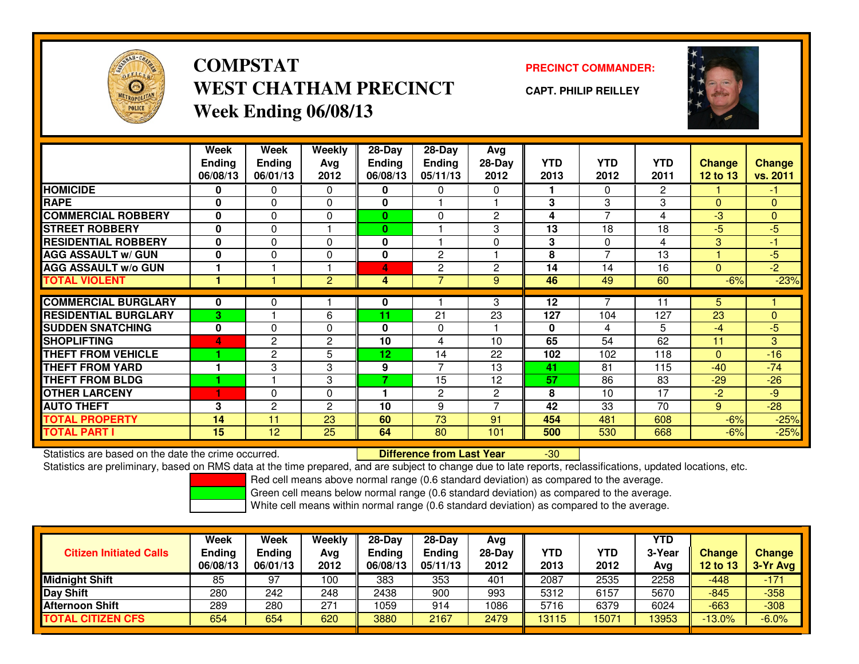

**COMPSTATWEST CHATHAM PRECINCTWeek Ending 06/08/13**

**PRECINCT COMMANDER:**

**CAPT. PHILIP REILLEY**



|                             | Week          | Week           | <b>Weekly</b>  | $28-Day$      | $28 - Day$     | Avg            |            |                |                |               |                |
|-----------------------------|---------------|----------------|----------------|---------------|----------------|----------------|------------|----------------|----------------|---------------|----------------|
|                             | <b>Ending</b> | <b>Ending</b>  | Avg            | <b>Ending</b> | Ending         | 28-Day         | <b>YTD</b> | <b>YTD</b>     | <b>YTD</b>     | <b>Change</b> | <b>Change</b>  |
|                             | 06/08/13      | 06/01/13       | 2012           | 06/08/13      | 05/11/13       | 2012           | 2013       | 2012           | 2011           | 12 to 13      | vs. 2011       |
| <b>HOMICIDE</b>             | 0             | 0              | $\Omega$       | 0             | $\mathbf{0}$   | $\Omega$       |            | $\Omega$       | $\overline{2}$ |               | $-1$           |
| <b>RAPE</b>                 | $\mathbf{0}$  | $\Omega$       | $\Omega$       | 0             |                |                | 3          | 3              | 3              | $\Omega$      | $\mathbf{0}$   |
| <b>COMMERCIAL ROBBERY</b>   | 0             | 0              | $\Omega$       | $\bf{0}$      | $\mathbf{0}$   | $\overline{c}$ | 4          | $\overline{7}$ | 4              | $-3$          | $\mathbf{0}$   |
| <b>STREET ROBBERY</b>       | $\mathbf{0}$  | 0              |                | 0             |                | 3              | 13         | 18             | 18             | $-5$          | $-5$           |
| <b>RESIDENTIAL ROBBERY</b>  | 0             | 0              | $\Omega$       | 0             |                | $\Omega$       | 3          | $\Omega$       | 4              | 3             | $-1$           |
| <b>AGG ASSAULT w/ GUN</b>   | $\mathbf{0}$  | $\Omega$       | 0              | 0             | $\mathbf{2}$   |                | 8          | 7              | 13             |               | $-5$           |
| <b>AGG ASSAULT w/o GUN</b>  |               |                |                | 4             | $\overline{c}$ | $\overline{c}$ | 14         | 14             | 16             | $\mathbf{0}$  | $\overline{2}$ |
| <b>TOTAL VIOLENT</b>        |               |                | $\overline{2}$ | 4             | $\overline{7}$ | 9              | 46         | 49             | 60             | $-6%$         | $-23%$         |
|                             |               |                |                |               |                |                |            |                |                |               |                |
| <b>COMMERCIAL BURGLARY</b>  | 0             | 0              |                | 0             |                | 3              | 12         |                | 11             | 5             |                |
| <b>RESIDENTIAL BURGLARY</b> | $\mathbf{3}$  |                | 6              | 11            | 21             | 23             | 127        | 104            | 127            | 23            | $\mathbf{0}$   |
| <b>SUDDEN SNATCHING</b>     | $\mathbf{0}$  | $\Omega$       | $\Omega$       | 0             | $\mathbf{0}$   |                | 0          | 4              | 5              | $-4$          | $-5$           |
| <b>SHOPLIFTING</b>          | 4             | 2              | $\overline{2}$ | 10            | 4              | 10             | 65         | 54             | 62             | 11            | 3              |
| <b>THEFT FROM VEHICLE</b>   |               | $\overline{2}$ | 5              | 12            | 14             | 22             | 102        | 102            | 118            | $\Omega$      | $-16$          |
| <b>THEFT FROM YARD</b>      |               | 3              | 3              | 9             | $\overline{ }$ | 13             | 41         | 81             | 115            | $-40$         | $-74$          |
| <b>THEFT FROM BLDG</b>      |               |                | 3              | 7             | 15             | 12             | 57         | 86             | 83             | $-29$         | $-26$          |
| <b>OTHER LARCENY</b>        |               | 0              | $\Omega$       |               | $\overline{c}$ | $\overline{c}$ | 8          | 10             | 17             | $-2$          | $-9$           |
| <b>AUTO THEFT</b>           | 3             | 2              | 2              | 10            | 9              | ⇁              | 42         | 33             | 70             | 9             | $-28$          |
| <b>TOTAL PROPERTY</b>       | 14            | 11             | 23             | 60            | 73             | 91             | 454        | 481            | 608            | $-6%$         | $-25%$         |
| <b>TOTAL PART I</b>         | 15            | 12             | 25             | 64            | 80             | 101            | 500        | 530            | 668            | $-6%$         | $-25%$         |

Statistics are based on the date the crime occurred. **Difference from Last Year** 

Statistics are preliminary, based on RMS data at the time prepared, and are subject to change due to late reports, reclassifications, updated locations, etc.

Red cell means above normal range (0.6 standard deviation) as compared to the average.

-30

Green cell means below normal range (0.6 standard deviation) as compared to the average.

| <b>Citizen Initiated Calls</b> | <b>Week</b><br><b>Ending</b><br>06/08/13 | <b>Week</b><br><b>Ending</b><br>06/01/13 | Weekly<br>Avg<br>2012 | $28-Day$<br><b>Ending</b><br>06/08/13 | 28-Day<br><b>Ending</b><br>05/11/13 | Avg<br>$28-Dav$<br>2012 | YTD<br>2013 | YTD<br>2012 | <b>YTD</b><br>3-Year<br>Avg | <b>Change</b><br><b>12 to 13</b> | Change<br>3-Yr Avg |
|--------------------------------|------------------------------------------|------------------------------------------|-----------------------|---------------------------------------|-------------------------------------|-------------------------|-------------|-------------|-----------------------------|----------------------------------|--------------------|
| <b>Midnight Shift</b>          | 85                                       | 97                                       | 100                   | 383                                   | 353                                 | 401                     | 2087        | 2535        | 2258                        | $-448$                           | $-171$             |
| Day Shift                      | 280                                      | 242                                      | 248                   | 2438                                  | 900                                 | 993                     | 5312        | 6157        | 5670                        | $-845$                           | $-358$             |
| <b>Afternoon Shift</b>         | 289                                      | 280                                      | 271                   | 1059                                  | 914                                 | 1086                    | 5716        | 6379        | 6024                        | $-663$                           | $-308$             |
| <b>TOTAL CITIZEN CFS</b>       | 654                                      | 654                                      | 620                   | 3880                                  | 2167                                | 2479                    | 13115       | 15071       | 13953                       | $-13.0%$                         | $-6.0%$            |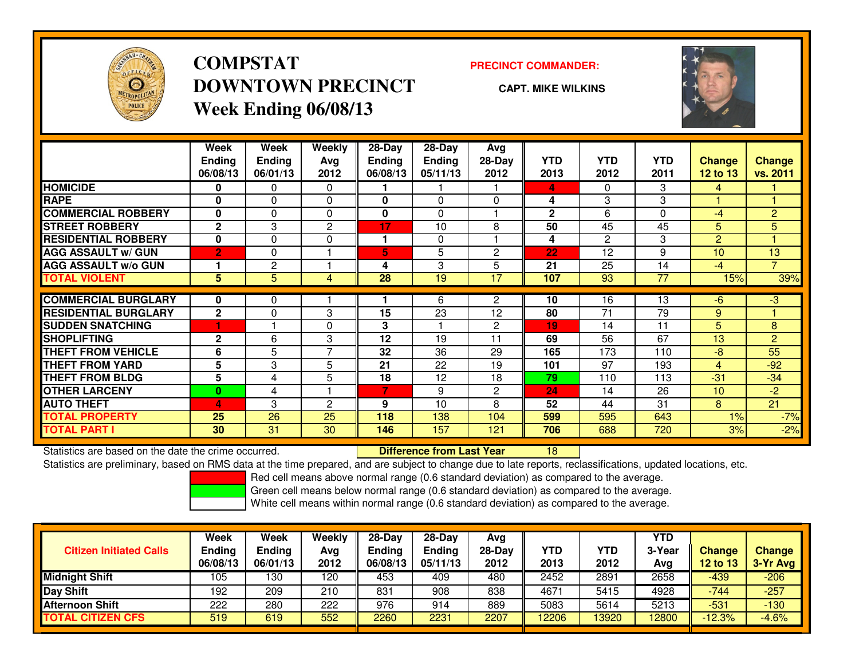

## **COMPSTATDOWNTOWN PRECINCTWeek Ending 06/08/13**

### **PRECINCT COMMANDER:**

**CAPT. MIKE WILKINS**

<sup>18</sup>



|                             | Week           | Week          | Weekly         | $28$ -Day | $28$ -Day     | Avg            |              |            |            |                |                |
|-----------------------------|----------------|---------------|----------------|-----------|---------------|----------------|--------------|------------|------------|----------------|----------------|
|                             | <b>Ending</b>  | <b>Ending</b> | Avg            | Ending    | <b>Ending</b> | $28-Day$       | <b>YTD</b>   | <b>YTD</b> | <b>YTD</b> | <b>Change</b>  | <b>Change</b>  |
|                             | 06/08/13       | 06/01/13      | 2012           | 06/08/13  | 05/11/13      | 2012           | 2013         | 2012       | 2011       | 12 to 13       | vs. 2011       |
| <b>HOMICIDE</b>             | 0              | 0             | $\Omega$       |           |               |                | 4            | $\Omega$   | 3          | 4              |                |
| <b>RAPE</b>                 | 0              | 0             | 0              | 0         | $\Omega$      | $\Omega$       | 4            | 3          | 3          |                |                |
| <b>COMMERCIAL ROBBERY</b>   | 0              | 0             | 0              | 0         | $\Omega$      |                | $\mathbf{2}$ | 6          | 0          | -4             | $\overline{2}$ |
| <b>STREET ROBBERY</b>       | $\mathbf{2}$   | 3             | 2              | 17        | 10            | 8              | 50           | 45         | 45         | 5              | 5              |
| <b>RESIDENTIAL ROBBERY</b>  | 0              | 0             | $\Omega$       |           | $\Omega$      |                | 4            | 2          | 3          | $\overline{2}$ |                |
| <b>AGG ASSAULT w/ GUN</b>   | $\overline{2}$ | 0             |                | 5         | 5             | $\overline{c}$ | 22           | 12         | 9          | 10             | 13             |
| <b>AGG ASSAULT w/o GUN</b>  |                | 2             |                | 4         | 3             | 5              | 21           | 25         | 14         | -4             | $\overline{7}$ |
| <b>TOTAL VIOLENT</b>        | 5              | 5             | 4              | 28        | 19            | 17             | 107          | 93         | 77         | 15%            | 39%            |
| <b>COMMERCIAL BURGLARY</b>  | 0              | 0             |                |           | 6             | $\overline{2}$ | 10           | 16         | 13         | -6             | $-3$           |
| <b>RESIDENTIAL BURGLARY</b> | $\mathbf{2}$   | $\mathbf{0}$  | 3              | 15        | 23            | 12             | 80           | 71         | 79         | 9              |                |
| <b>SUDDEN SNATCHING</b>     |                |               | $\Omega$       | 3         |               | $\overline{c}$ | 19           | 14         | 11         | 5              | 8              |
| <b>SHOPLIFTING</b>          | $\mathbf{2}$   | 6             | 3              | 12        | 19            | 11             | 69           | 56         | 67         | 13             | $\overline{2}$ |
| <b>THEFT FROM VEHICLE</b>   | 6              | 5             | $\overline{ }$ | 32        | 36            | 29             | 165          | 173        | 110        | -8             | 55             |
| <b>THEFT FROM YARD</b>      | 5              | 3             | 5              | 21        | 22            | 19             | 101          | 97         | 193        | $\overline{4}$ | $-92$          |
| <b>THEFT FROM BLDG</b>      | 5              | 4             | 5              | 18        | 12            | 18             | 79           | 110        | 113        | $-31$          | $-34$          |
| <b>OTHER LARCENY</b>        | $\bf{0}$       | 4             |                | 7         | 9             | $\overline{2}$ | 24           | 14         | 26         | 10             | $-2$           |
| <b>AUTO THEFT</b>           | 4              | 3             | $\overline{c}$ | 9         | 10            | 8              | 52           | 44         | 31         | 8              | 21             |
| <b>TOTAL PROPERTY</b>       | 25             | 26            | 25             | 118       | 138           | 104            | 599          | 595        | 643        | 1%             | $-7%$          |
| <b>TOTAL PART I</b>         | 30             | 31            | 30             | 146       | 157           | 121            | 706          | 688        | 720        | 3%             | $-2%$          |

Statistics are based on the date the crime occurred. **Difference from Last Year** 

Statistics are preliminary, based on RMS data at the time prepared, and are subject to change due to late reports, reclassifications, updated locations, etc.

Red cell means above normal range (0.6 standard deviation) as compared to the average.

Green cell means below normal range (0.6 standard deviation) as compared to the average.

| <b>Citizen Initiated Calls</b> | <b>Week</b><br><b>Ending</b> | Week<br>Ending | Weekly      | $28-Day$<br><b>Ending</b> | $28-Dav$<br><b>Ending</b> | Avg<br>$28-Dav$ | <b>YTD</b> | YTD   | <b>YTD</b><br>3-Year | Change   | <b>Change</b> |
|--------------------------------|------------------------------|----------------|-------------|---------------------------|---------------------------|-----------------|------------|-------|----------------------|----------|---------------|
|                                | 06/08/13                     | 06/01/13       | Avg<br>2012 | 06/08/13                  | 05/11/13                  | 2012            | 2013       | 2012  | Avg                  | 12 to 13 | $3-Yr$ Avg    |
| <b>Midnight Shift</b>          | 105                          | 130            | 120         | 453                       | 409                       | 480             | 2452       | 2891  | 2658                 | -439     | $-206$        |
| <b>Day Shift</b>               | 192                          | 209            | 210         | 831                       | 908                       | 838             | 4671       | 5415  | 4928                 | $-744$   | -257          |
| <b>Afternoon Shift</b>         | 222                          | 280            | 222         | 976                       | 914                       | 889             | 5083       | 5614  | 5213                 | $-531$   | $-130/$       |
| <b>TOTAL CITIZEN CFS</b>       | 519                          | 619            | 552         | 2260                      | 2231                      | 2207            | 12206      | 13920 | 2800                 | $-12.3%$ | $-4.6%$       |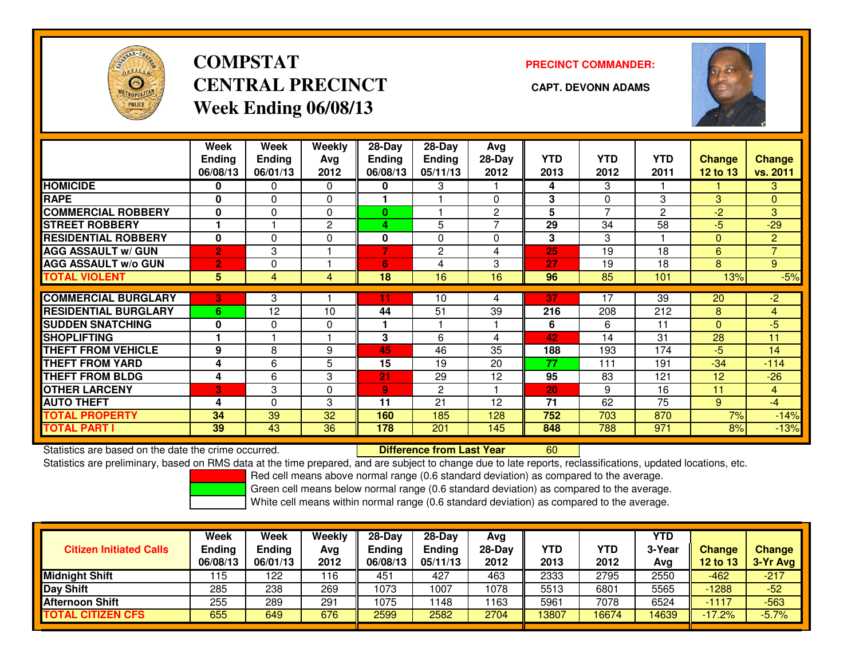

# **COMPSTATCENTRAL PRECINCT CAPT. DEVONN ADAMSWeek Ending 06/08/13**

**PRECINCT COMMANDER:**



|                             | Week<br><b>Ending</b><br>06/08/13 | <b>Week</b><br><b>Ending</b><br>06/01/13 | <b>Weekly</b><br>Ava<br>2012 | 28-Day<br>Ending<br>06/08/13 | 28-Day<br><b>Ending</b><br>05/11/13 | Avg<br>28-Day<br>2012 | <b>YTD</b><br>2013 | <b>YTD</b><br>2012 | <b>YTD</b><br>2011 | Change<br>12 to 13 | <b>Change</b><br>vs. 2011 |
|-----------------------------|-----------------------------------|------------------------------------------|------------------------------|------------------------------|-------------------------------------|-----------------------|--------------------|--------------------|--------------------|--------------------|---------------------------|
| <b>HOMICIDE</b>             | 0                                 | $\Omega$                                 | $\Omega$                     | 0                            | 3                                   |                       | 4                  | 3                  |                    |                    | 3                         |
| <b>RAPE</b>                 | 0                                 | $\Omega$                                 | 0                            |                              |                                     | 0                     | 3                  | $\Omega$           | 3                  | 3                  | $\overline{0}$            |
| <b>COMMERCIAL ROBBERY</b>   | $\bf{0}$                          | $\Omega$                                 | $\Omega$                     | $\bf{0}$                     |                                     | $\overline{2}$        | 5                  | $\overline{7}$     | $\overline{2}$     | $-2$               | 3                         |
| <b>STREET ROBBERY</b>       |                                   |                                          | 2                            | 4                            | 5                                   | 7                     | 29                 | 34                 | 58                 | $-5$               | $-29$                     |
| <b>RESIDENTIAL ROBBERY</b>  | $\mathbf{0}$                      | $\Omega$                                 | $\Omega$                     | 0                            | 0                                   | 0                     | 3                  | 3                  |                    | $\mathbf{0}$       | $\overline{2}$            |
| <b>AGG ASSAULT w/ GUN</b>   | $\overline{2}$                    | 3                                        |                              | 7                            | $\overline{2}$                      | 4                     | 25                 | 19                 | 18                 | 6                  | $\overline{7}$            |
| <b>AGG ASSAULT w/o GUN</b>  | $\overline{2}$                    | 0                                        |                              | $6\phantom{1}$               | 4                                   | 3                     | 27                 | 19                 | 18                 | 8                  | 9                         |
| <b>TOTAL VIOLENT</b>        | 5                                 | 4                                        | 4                            | 18                           | 16                                  | 16                    | 96                 | 85                 | 101                | 13%                | $-5%$                     |
|                             |                                   |                                          |                              |                              |                                     |                       |                    |                    |                    |                    |                           |
| <b>COMMERCIAL BURGLARY</b>  | 3                                 | 3                                        |                              | 11                           | 10                                  | 4                     | 37                 | 17                 | 39                 | 20                 | $-2$                      |
| <b>RESIDENTIAL BURGLARY</b> | 6                                 | 12                                       | 10                           | 44                           | 51                                  | 39                    | 216                | 208                | 212                | 8                  | $\overline{4}$            |
| <b>SUDDEN SNATCHING</b>     | $\mathbf{0}$                      | $\Omega$                                 | 0                            |                              |                                     |                       | 6                  | 6                  | 11                 | $\mathbf{0}$       | $-5$                      |
| <b>SHOPLIFTING</b>          |                                   |                                          |                              | 3                            | 6                                   | 4                     | 42                 | 14                 | 31                 | 28                 | 11                        |
| <b>THEFT FROM VEHICLE</b>   | 9                                 | 8                                        | 9                            | 45                           | 46                                  | 35                    | 188                | 193                | 174                | $-5$               | 14                        |
| <b>THEFT FROM YARD</b>      | 4                                 | 6                                        | 5                            | 15                           | 19                                  | 20                    | 77                 | 111                | 191                | $-34$              | $-114$                    |
| <b>THEFT FROM BLDG</b>      | 4                                 | 6                                        | 3                            | 21                           | 29                                  | 12                    | 95                 | 83                 | 121                | 12                 | $-26$                     |
| <b>OTHER LARCENY</b>        | 3                                 | 3                                        | $\Omega$                     | 9                            | 2                                   |                       | 20                 | 9                  | 16                 | 11                 | $\overline{4}$            |
| <b>AUTO THEFT</b>           | 4                                 | $\Omega$                                 | 3                            | 11                           | 21                                  | 12                    | 71                 | 62                 | 75                 | 9                  | $-4$                      |
| <b>TOTAL PROPERTY</b>       | 34                                | 39                                       | 32                           | 160                          | 185                                 | 128                   | 752                | 703                | 870                | 7%                 | $-14%$                    |
| <b>TOTAL PART I</b>         | 39                                | 43                                       | 36                           | 178                          | 201                                 | 145                   | 848                | 788                | 971                | 8%                 | $-13%$                    |

Statistics are based on the date the crime occurred. **Difference from Last Year** 

Statistics are based on the date the crime occurred. **Externee the Difference from Last Year the CONT 100 m**<br>Statistics are preliminary, based on RMS data at the time prepared, and are subject to change due to late reports

Red cell means above normal range (0.6 standard deviation) as compared to the average.

Green cell means below normal range (0.6 standard deviation) as compared to the average.

|                                | <b>Week</b>   | Week          | Weekly | $28-Day$      | $28-Dav$ | Avg      |            |            | <b>YTD</b> |          |               |
|--------------------------------|---------------|---------------|--------|---------------|----------|----------|------------|------------|------------|----------|---------------|
| <b>Citizen Initiated Calls</b> | <b>Ending</b> | <b>Ending</b> | Avg    | <b>Ending</b> | Ending   | $28-Day$ | <b>YTD</b> | <b>YTD</b> | 3-Year     | Change   | <b>Change</b> |
|                                | 06/08/13      | 06/01/13      | 2012   | 06/08/13      | 05/11/13 | 2012     | 2013       | 2012       | Avg        | 12 to 13 | 3-Yr Avg      |
| <b>Midnight Shift</b>          | 115           | 122           | 116    | 451           | 427      | 463      | 2333       | 2795       | 2550       | $-462$   | $-217$        |
| Day Shift                      | 285           | 238           | 269    | 1073          | 1007     | 1078     | 5513       | 6801       | 5565       | $-1288$  | $-52$         |
| <b>Afternoon Shift</b>         | 255           | 289           | 291    | 1075          | 1148     | 163      | 5961       | 7078       | 6524       | $-1117$  | $-563$        |
| <b>TOTAL CITIZEN CFS</b>       | 655           | 649           | 676    | 2599          | 2582     | 2704     | 13807      | 16674      | 4639       | $-17.2%$ | $-5.7%$       |
|                                |               |               |        |               |          |          |            |            |            |          |               |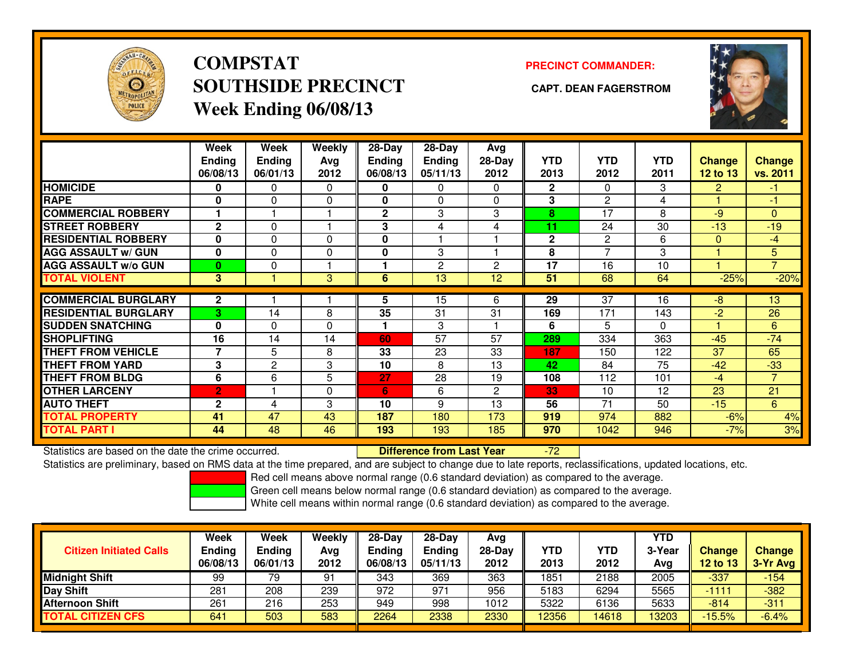

## **COMPSTATSOUTHSIDE PRECINCT CAPT. DEAN FAGERSTROMWeek Ending 06/08/13**

### **PRECINCT COMMANDER:**



|                             | Week<br><b>Ending</b><br>06/08/13 | Week<br><b>Ending</b><br>06/01/13 | Weekly<br>Avg<br>2012 | $28-Day$<br><b>Ending</b><br>06/08/13 | $28-Dav$<br><b>Ending</b><br>05/11/13 | Avg<br>28-Day<br>2012 | <b>YTD</b><br>2013 | <b>YTD</b><br>2012 | <b>YTD</b><br>2011 | <b>Change</b><br>12 to 13 | <b>Change</b><br>vs. 2011 |
|-----------------------------|-----------------------------------|-----------------------------------|-----------------------|---------------------------------------|---------------------------------------|-----------------------|--------------------|--------------------|--------------------|---------------------------|---------------------------|
| <b>HOMICIDE</b>             | 0                                 | 0                                 | 0                     | 0                                     | $\Omega$                              | 0                     | $\mathbf{2}$       | $\Omega$           | 3                  | 2                         | -1.                       |
| <b>RAPE</b>                 | O                                 | 0                                 | $\Omega$              | 0                                     | $\Omega$                              | 0                     | 3                  | $\overline{c}$     | 4                  |                           | -1                        |
| <b>COMMERCIAL ROBBERY</b>   |                                   |                                   |                       | $\mathbf{2}$                          | 3                                     | 3                     | 8                  | 17                 | 8                  | -9                        | $\Omega$                  |
| <b>STREET ROBBERY</b>       | $\mathbf{2}$                      | 0                                 |                       | 3                                     | 4                                     | 4                     | 11                 | 24                 | 30                 | $-13$                     | $-19$                     |
| <b>RESIDENTIAL ROBBERY</b>  | $\Omega$                          | 0                                 | $\Omega$              | 0                                     |                                       |                       | $\mathbf{2}$       | $\overline{2}$     | 6                  | $\mathbf{0}$              | -4                        |
| <b>AGG ASSAULT w/ GUN</b>   | $\bf{0}$                          | 0                                 | $\Omega$              | 0                                     | 3                                     |                       | 8                  | $\overline{7}$     | 3                  |                           | 5                         |
| <b>AGG ASSAULT w/o GUN</b>  | $\bf{0}$                          | 0                                 |                       |                                       | $\overline{2}$                        | $\overline{2}$        | 17                 | 16                 | 10                 |                           | $\overline{7}$            |
| <b>TOTAL VIOLENT</b>        | 3                                 |                                   | 3                     | 6                                     | 13                                    | 12                    | 51                 | 68                 | 64                 | $-25%$                    | $-20%$                    |
| <b>COMMERCIAL BURGLARY</b>  | $\mathbf{2}$                      |                                   |                       | 5                                     | 15                                    | 6                     | 29                 | 37                 | 16                 | -8                        | 13                        |
| <b>RESIDENTIAL BURGLARY</b> | 3                                 | 14                                | 8                     | 35                                    | 31                                    | 31                    | 169                | 171                | 143                | $-2$                      | 26                        |
| <b>SUDDEN SNATCHING</b>     | $\bf{0}$                          | 0                                 | $\Omega$              |                                       | 3                                     |                       | 6                  | 5                  | 0                  |                           | 6                         |
| <b>SHOPLIFTING</b>          | 16                                | 14                                | 14                    | 60                                    | 57                                    | 57                    | 289                | 334                | 363                | $-45$                     | $-74$                     |
| <b>THEFT FROM VEHICLE</b>   | 7                                 | 5                                 | 8                     | 33                                    | 23                                    | 33                    | 187                | 150                | 122                | 37                        | 65                        |
| <b>THEFT FROM YARD</b>      | 3                                 | $\overline{c}$                    | 3                     | 10                                    | 8                                     | 13                    | 42                 | 84                 | 75                 | $-42$                     | $-33$                     |
| <b>THEFT FROM BLDG</b>      | 6                                 | 6                                 | 5                     | 27                                    | 28                                    | 19                    | 108                | 112                | 101                | $-4$                      | $\overline{7}$            |
| <b>OTHER LARCENY</b>        | $\overline{2}$                    |                                   | $\mathbf 0$           | 6                                     | 6                                     | $\overline{2}$        | 33                 | 10                 | 12                 | 23                        | 21                        |
| <b>AUTO THEFT</b>           | $\mathbf{2}$                      | 4                                 | 3                     | 10                                    | 9                                     | 13                    | 56                 | 71                 | 50                 | $-15$                     | 6                         |
| <b>TOTAL PROPERTY</b>       | 41                                | 47                                | 43                    | 187                                   | 180                                   | 173                   | 919                | 974                | 882                | $-6%$                     | 4%                        |
| <b>TOTAL PART I</b>         | 44                                | 48                                | 46                    | 193                                   | 193                                   | 185                   | 970                | 1042               | 946                | $-7%$                     | 3%                        |

Statistics are based on the date the crime occurred. **Difference from Last Year** 

### -72

Statistics are preliminary, based on RMS data at the time prepared, and are subject to change due to late reports, reclassifications, updated locations, etc.

Red cell means above normal range (0.6 standard deviation) as compared to the average.

Green cell means below normal range (0.6 standard deviation) as compared to the average.

| <b>Citizen Initiated Calls</b> | Week<br><b>Ending</b><br>06/08/13 | Week<br><b>Ending</b><br>06/01/13 | Weekly<br>Avg<br>2012 | $28-Day$<br>Ending<br>06/08/13 | $28-Day$<br>Ending<br>05/11/13 | Avg<br>$28-Day$<br>2012 | YTD<br>2013 | <b>YTD</b><br>2012 | <b>YTD</b><br>3-Year<br>Avg | Change<br>12 to 13 | <b>Change</b><br>$3-Yr$ Avg |
|--------------------------------|-----------------------------------|-----------------------------------|-----------------------|--------------------------------|--------------------------------|-------------------------|-------------|--------------------|-----------------------------|--------------------|-----------------------------|
| <b>Midnight Shift</b>          | 99                                | 79                                | 91                    | 343                            | 369                            | 363                     | 1851        | 2188               | 2005                        | $-337$             | $-154$                      |
| Day Shift                      | 281                               | 208                               | 239                   | 972                            | 971                            | 956                     | 5183        | 6294               | 5565                        | -1111              | $-382$                      |
| <b>Afternoon Shift</b>         | 261                               | 216                               | 253                   | 949                            | 998                            | 1012                    | 5322        | 6136               | 5633                        | $-814$             | $-311$                      |
| <b>TOTAL CITIZEN CFS</b>       | 641                               | 503                               | 583                   | 2264                           | 2338                           | 2330                    | 12356       | 14618              | 3203                        | $-15.5%$           | $-6.4%$                     |